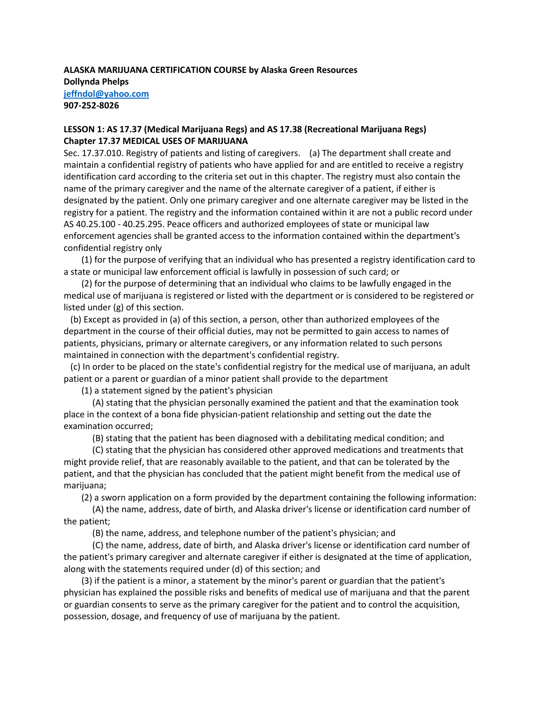# **ALASKA MARIJUANA CERTIFICATION COURSE by Alaska Green Resources Dollynda Phelps [jeffndol@yahoo.com](mailto:jeffndol@yahoo.com) 907-252-8026**

# **LESSON 1: AS 17.37 (Medical Marijuana Regs) and AS 17.38 (Recreational Marijuana Regs) Chapter 17.37 MEDICAL USES OF MARIJUANA**

Sec. 17.37.010. Registry of patients and listing of caregivers. (a) The department shall create and maintain a confidential registry of patients who have applied for and are entitled to receive a registry identification card according to the criteria set out in this chapter. The registry must also contain the name of the primary caregiver and the name of the alternate caregiver of a patient, if either is designated by the patient. Only one primary caregiver and one alternate caregiver may be listed in the registry for a patient. The registry and the information contained within it are not a public record under AS 40.25.100 - 40.25.295. Peace officers and authorized employees of state or municipal law enforcement agencies shall be granted access to the information contained within the department's confidential registry only

 (1) for the purpose of verifying that an individual who has presented a registry identification card to a state or municipal law enforcement official is lawfully in possession of such card; or

 (2) for the purpose of determining that an individual who claims to be lawfully engaged in the medical use of marijuana is registered or listed with the department or is considered to be registered or listed under (g) of this section.

 (b) Except as provided in (a) of this section, a person, other than authorized employees of the department in the course of their official duties, may not be permitted to gain access to names of patients, physicians, primary or alternate caregivers, or any information related to such persons maintained in connection with the department's confidential registry.

 (c) In order to be placed on the state's confidential registry for the medical use of marijuana, an adult patient or a parent or guardian of a minor patient shall provide to the department

(1) a statement signed by the patient's physician

 (A) stating that the physician personally examined the patient and that the examination took place in the context of a bona fide physician-patient relationship and setting out the date the examination occurred;

(B) stating that the patient has been diagnosed with a debilitating medical condition; and

 (C) stating that the physician has considered other approved medications and treatments that might provide relief, that are reasonably available to the patient, and that can be tolerated by the patient, and that the physician has concluded that the patient might benefit from the medical use of marijuana;

(2) a sworn application on a form provided by the department containing the following information:

 (A) the name, address, date of birth, and Alaska driver's license or identification card number of the patient;

(B) the name, address, and telephone number of the patient's physician; and

 (C) the name, address, date of birth, and Alaska driver's license or identification card number of the patient's primary caregiver and alternate caregiver if either is designated at the time of application, along with the statements required under (d) of this section; and

 (3) if the patient is a minor, a statement by the minor's parent or guardian that the patient's physician has explained the possible risks and benefits of medical use of marijuana and that the parent or guardian consents to serve as the primary caregiver for the patient and to control the acquisition, possession, dosage, and frequency of use of marijuana by the patient.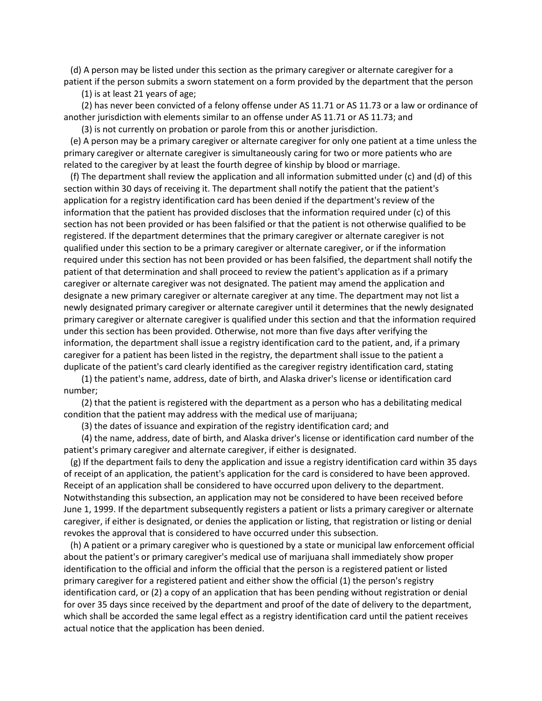(d) A person may be listed under this section as the primary caregiver or alternate caregiver for a patient if the person submits a sworn statement on a form provided by the department that the person

(1) is at least 21 years of age;

 (2) has never been convicted of a felony offense under AS 11.71 or AS 11.73 or a law or ordinance of another jurisdiction with elements similar to an offense under AS 11.71 or AS 11.73; and

 (3) is not currently on probation or parole from this or another jurisdiction. (e) A person may be a primary caregiver or alternate caregiver for only one patient at a time unless the primary caregiver or alternate caregiver is simultaneously caring for two or more patients who are

related to the caregiver by at least the fourth degree of kinship by blood or marriage.

 (f) The department shall review the application and all information submitted under (c) and (d) of this section within 30 days of receiving it. The department shall notify the patient that the patient's application for a registry identification card has been denied if the department's review of the information that the patient has provided discloses that the information required under (c) of this section has not been provided or has been falsified or that the patient is not otherwise qualified to be registered. If the department determines that the primary caregiver or alternate caregiver is not qualified under this section to be a primary caregiver or alternate caregiver, or if the information required under this section has not been provided or has been falsified, the department shall notify the patient of that determination and shall proceed to review the patient's application as if a primary caregiver or alternate caregiver was not designated. The patient may amend the application and designate a new primary caregiver or alternate caregiver at any time. The department may not list a newly designated primary caregiver or alternate caregiver until it determines that the newly designated primary caregiver or alternate caregiver is qualified under this section and that the information required under this section has been provided. Otherwise, not more than five days after verifying the information, the department shall issue a registry identification card to the patient, and, if a primary caregiver for a patient has been listed in the registry, the department shall issue to the patient a duplicate of the patient's card clearly identified as the caregiver registry identification card, stating

 (1) the patient's name, address, date of birth, and Alaska driver's license or identification card number;

 (2) that the patient is registered with the department as a person who has a debilitating medical condition that the patient may address with the medical use of marijuana;

(3) the dates of issuance and expiration of the registry identification card; and

 (4) the name, address, date of birth, and Alaska driver's license or identification card number of the patient's primary caregiver and alternate caregiver, if either is designated.

 (g) If the department fails to deny the application and issue a registry identification card within 35 days of receipt of an application, the patient's application for the card is considered to have been approved. Receipt of an application shall be considered to have occurred upon delivery to the department. Notwithstanding this subsection, an application may not be considered to have been received before June 1, 1999. If the department subsequently registers a patient or lists a primary caregiver or alternate caregiver, if either is designated, or denies the application or listing, that registration or listing or denial revokes the approval that is considered to have occurred under this subsection.

 (h) A patient or a primary caregiver who is questioned by a state or municipal law enforcement official about the patient's or primary caregiver's medical use of marijuana shall immediately show proper identification to the official and inform the official that the person is a registered patient or listed primary caregiver for a registered patient and either show the official (1) the person's registry identification card, or (2) a copy of an application that has been pending without registration or denial for over 35 days since received by the department and proof of the date of delivery to the department, which shall be accorded the same legal effect as a registry identification card until the patient receives actual notice that the application has been denied.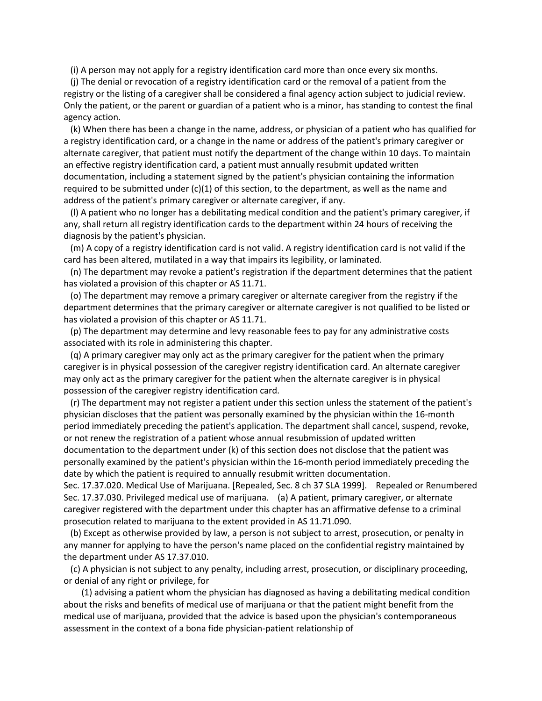(i) A person may not apply for a registry identification card more than once every six months.

 (j) The denial or revocation of a registry identification card or the removal of a patient from the registry or the listing of a caregiver shall be considered a final agency action subject to judicial review. Only the patient, or the parent or guardian of a patient who is a minor, has standing to contest the final agency action.

 (k) When there has been a change in the name, address, or physician of a patient who has qualified for a registry identification card, or a change in the name or address of the patient's primary caregiver or alternate caregiver, that patient must notify the department of the change within 10 days. To maintain an effective registry identification card, a patient must annually resubmit updated written documentation, including a statement signed by the patient's physician containing the information required to be submitted under  $(c)(1)$  of this section, to the department, as well as the name and address of the patient's primary caregiver or alternate caregiver, if any.

 (l) A patient who no longer has a debilitating medical condition and the patient's primary caregiver, if any, shall return all registry identification cards to the department within 24 hours of receiving the diagnosis by the patient's physician.

 (m) A copy of a registry identification card is not valid. A registry identification card is not valid if the card has been altered, mutilated in a way that impairs its legibility, or laminated.

 (n) The department may revoke a patient's registration if the department determines that the patient has violated a provision of this chapter or AS 11.71.

 (o) The department may remove a primary caregiver or alternate caregiver from the registry if the department determines that the primary caregiver or alternate caregiver is not qualified to be listed or has violated a provision of this chapter or AS 11.71.

 (p) The department may determine and levy reasonable fees to pay for any administrative costs associated with its role in administering this chapter.

 (q) A primary caregiver may only act as the primary caregiver for the patient when the primary caregiver is in physical possession of the caregiver registry identification card. An alternate caregiver may only act as the primary caregiver for the patient when the alternate caregiver is in physical possession of the caregiver registry identification card.

 (r) The department may not register a patient under this section unless the statement of the patient's physician discloses that the patient was personally examined by the physician within the 16-month period immediately preceding the patient's application. The department shall cancel, suspend, revoke, or not renew the registration of a patient whose annual resubmission of updated written documentation to the department under (k) of this section does not disclose that the patient was personally examined by the patient's physician within the 16-month period immediately preceding the date by which the patient is required to annually resubmit written documentation.

Sec. 17.37.020. Medical Use of Marijuana. [Repealed, Sec. 8 ch 37 SLA 1999]. Repealed or Renumbered Sec. 17.37.030. Privileged medical use of marijuana. (a) A patient, primary caregiver, or alternate caregiver registered with the department under this chapter has an affirmative defense to a criminal prosecution related to marijuana to the extent provided in AS 11.71.090.

 (b) Except as otherwise provided by law, a person is not subject to arrest, prosecution, or penalty in any manner for applying to have the person's name placed on the confidential registry maintained by the department under AS 17.37.010.

 (c) A physician is not subject to any penalty, including arrest, prosecution, or disciplinary proceeding, or denial of any right or privilege, for

 (1) advising a patient whom the physician has diagnosed as having a debilitating medical condition about the risks and benefits of medical use of marijuana or that the patient might benefit from the medical use of marijuana, provided that the advice is based upon the physician's contemporaneous assessment in the context of a bona fide physician-patient relationship of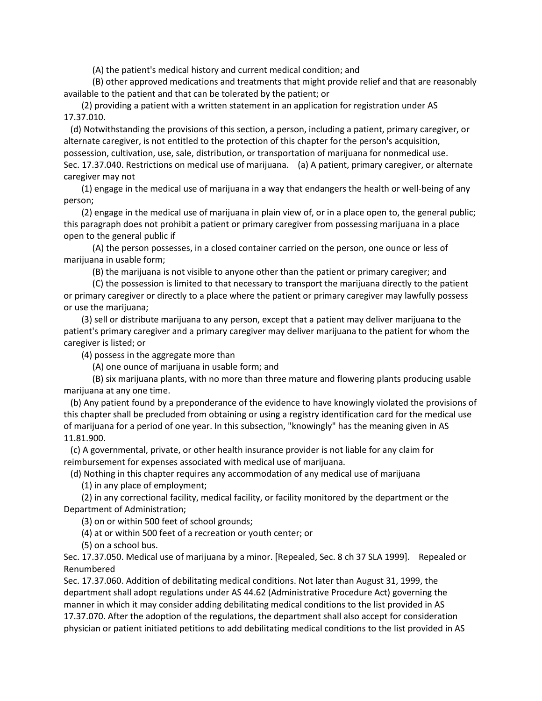(A) the patient's medical history and current medical condition; and

 (B) other approved medications and treatments that might provide relief and that are reasonably available to the patient and that can be tolerated by the patient; or

 (2) providing a patient with a written statement in an application for registration under AS 17.37.010.

 (d) Notwithstanding the provisions of this section, a person, including a patient, primary caregiver, or alternate caregiver, is not entitled to the protection of this chapter for the person's acquisition, possession, cultivation, use, sale, distribution, or transportation of marijuana for nonmedical use. Sec. 17.37.040. Restrictions on medical use of marijuana. (a) A patient, primary caregiver, or alternate caregiver may not

 (1) engage in the medical use of marijuana in a way that endangers the health or well-being of any person;

 (2) engage in the medical use of marijuana in plain view of, or in a place open to, the general public; this paragraph does not prohibit a patient or primary caregiver from possessing marijuana in a place open to the general public if

 (A) the person possesses, in a closed container carried on the person, one ounce or less of marijuana in usable form;

(B) the marijuana is not visible to anyone other than the patient or primary caregiver; and

 (C) the possession is limited to that necessary to transport the marijuana directly to the patient or primary caregiver or directly to a place where the patient or primary caregiver may lawfully possess or use the marijuana;

 (3) sell or distribute marijuana to any person, except that a patient may deliver marijuana to the patient's primary caregiver and a primary caregiver may deliver marijuana to the patient for whom the caregiver is listed; or

(4) possess in the aggregate more than

(A) one ounce of marijuana in usable form; and

 (B) six marijuana plants, with no more than three mature and flowering plants producing usable marijuana at any one time.

 (b) Any patient found by a preponderance of the evidence to have knowingly violated the provisions of this chapter shall be precluded from obtaining or using a registry identification card for the medical use of marijuana for a period of one year. In this subsection, "knowingly" has the meaning given in AS 11.81.900.

 (c) A governmental, private, or other health insurance provider is not liable for any claim for reimbursement for expenses associated with medical use of marijuana.

(d) Nothing in this chapter requires any accommodation of any medical use of marijuana

(1) in any place of employment;

 (2) in any correctional facility, medical facility, or facility monitored by the department or the Department of Administration;

(3) on or within 500 feet of school grounds;

(4) at or within 500 feet of a recreation or youth center; or

(5) on a school bus.

Sec. 17.37.050. Medical use of marijuana by a minor. [Repealed, Sec. 8 ch 37 SLA 1999]. Repealed or Renumbered

Sec. 17.37.060. Addition of debilitating medical conditions. Not later than August 31, 1999, the department shall adopt regulations under AS 44.62 (Administrative Procedure Act) governing the manner in which it may consider adding debilitating medical conditions to the list provided in AS 17.37.070. After the adoption of the regulations, the department shall also accept for consideration physician or patient initiated petitions to add debilitating medical conditions to the list provided in AS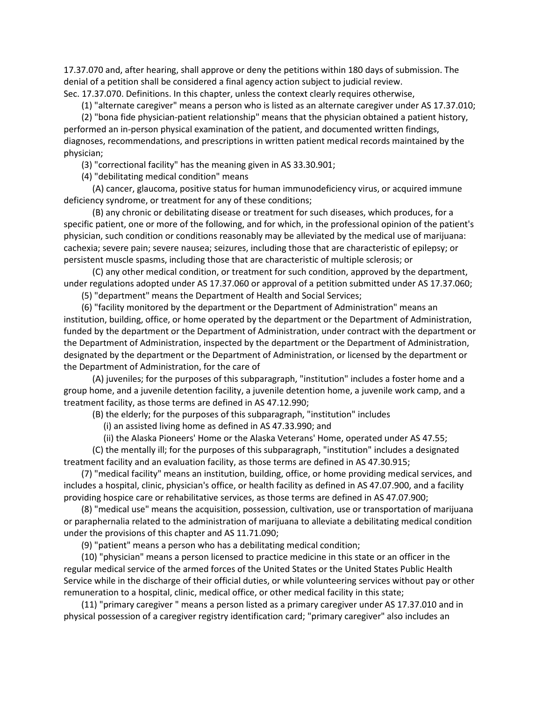17.37.070 and, after hearing, shall approve or deny the petitions within 180 days of submission. The denial of a petition shall be considered a final agency action subject to judicial review. Sec. 17.37.070. Definitions. In this chapter, unless the context clearly requires otherwise,

(1) "alternate caregiver" means a person who is listed as an alternate caregiver under AS 17.37.010;

 (2) "bona fide physician-patient relationship" means that the physician obtained a patient history, performed an in-person physical examination of the patient, and documented written findings, diagnoses, recommendations, and prescriptions in written patient medical records maintained by the physician;

(3) "correctional facility" has the meaning given in AS 33.30.901;

(4) "debilitating medical condition" means

 (A) cancer, glaucoma, positive status for human immunodeficiency virus, or acquired immune deficiency syndrome, or treatment for any of these conditions;

 (B) any chronic or debilitating disease or treatment for such diseases, which produces, for a specific patient, one or more of the following, and for which, in the professional opinion of the patient's physician, such condition or conditions reasonably may be alleviated by the medical use of marijuana: cachexia; severe pain; severe nausea; seizures, including those that are characteristic of epilepsy; or persistent muscle spasms, including those that are characteristic of multiple sclerosis; or

 (C) any other medical condition, or treatment for such condition, approved by the department, under regulations adopted under AS 17.37.060 or approval of a petition submitted under AS 17.37.060;

(5) "department" means the Department of Health and Social Services;

 (6) "facility monitored by the department or the Department of Administration" means an institution, building, office, or home operated by the department or the Department of Administration, funded by the department or the Department of Administration, under contract with the department or the Department of Administration, inspected by the department or the Department of Administration, designated by the department or the Department of Administration, or licensed by the department or the Department of Administration, for the care of

 (A) juveniles; for the purposes of this subparagraph, "institution" includes a foster home and a group home, and a juvenile detention facility, a juvenile detention home, a juvenile work camp, and a treatment facility, as those terms are defined in AS 47.12.990;

(B) the elderly; for the purposes of this subparagraph, "institution" includes

(i) an assisted living home as defined in AS 47.33.990; and

(ii) the Alaska Pioneers' Home or the Alaska Veterans' Home, operated under AS 47.55;

 (C) the mentally ill; for the purposes of this subparagraph, "institution" includes a designated treatment facility and an evaluation facility, as those terms are defined in AS 47.30.915;

 (7) "medical facility" means an institution, building, office, or home providing medical services, and includes a hospital, clinic, physician's office, or health facility as defined in AS 47.07.900, and a facility providing hospice care or rehabilitative services, as those terms are defined in AS 47.07.900;

 (8) "medical use" means the acquisition, possession, cultivation, use or transportation of marijuana or paraphernalia related to the administration of marijuana to alleviate a debilitating medical condition under the provisions of this chapter and AS 11.71.090;

(9) "patient" means a person who has a debilitating medical condition;

 (10) "physician" means a person licensed to practice medicine in this state or an officer in the regular medical service of the armed forces of the United States or the United States Public Health Service while in the discharge of their official duties, or while volunteering services without pay or other remuneration to a hospital, clinic, medical office, or other medical facility in this state;

 (11) "primary caregiver " means a person listed as a primary caregiver under AS 17.37.010 and in physical possession of a caregiver registry identification card; "primary caregiver" also includes an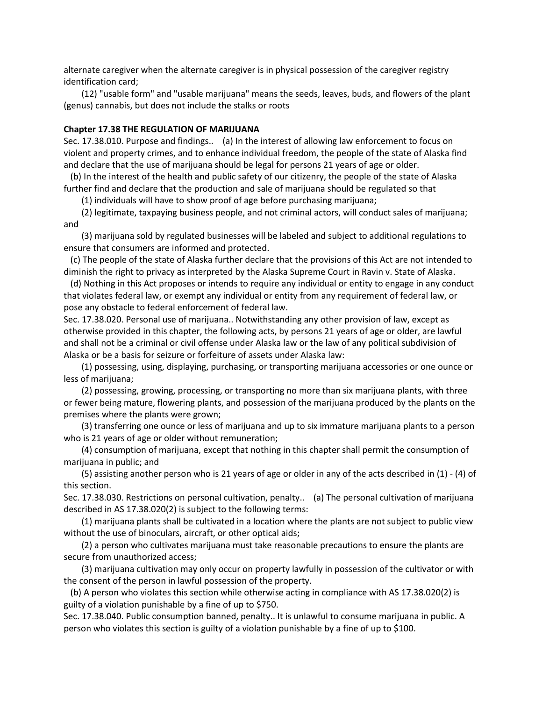alternate caregiver when the alternate caregiver is in physical possession of the caregiver registry identification card;

 (12) "usable form" and "usable marijuana" means the seeds, leaves, buds, and flowers of the plant (genus) cannabis, but does not include the stalks or roots

### **Chapter 17.38 THE REGULATION OF MARIJUANA**

Sec. 17.38.010. Purpose and findings.. (a) In the interest of allowing law enforcement to focus on violent and property crimes, and to enhance individual freedom, the people of the state of Alaska find and declare that the use of marijuana should be legal for persons 21 years of age or older.

 (b) In the interest of the health and public safety of our citizenry, the people of the state of Alaska further find and declare that the production and sale of marijuana should be regulated so that

(1) individuals will have to show proof of age before purchasing marijuana;

 (2) legitimate, taxpaying business people, and not criminal actors, will conduct sales of marijuana; and

 (3) marijuana sold by regulated businesses will be labeled and subject to additional regulations to ensure that consumers are informed and protected.

 (c) The people of the state of Alaska further declare that the provisions of this Act are not intended to diminish the right to privacy as interpreted by the Alaska Supreme Court in Ravin v. State of Alaska.

 (d) Nothing in this Act proposes or intends to require any individual or entity to engage in any conduct that violates federal law, or exempt any individual or entity from any requirement of federal law, or pose any obstacle to federal enforcement of federal law.

Sec. 17.38.020. Personal use of marijuana.. Notwithstanding any other provision of law, except as otherwise provided in this chapter, the following acts, by persons 21 years of age or older, are lawful and shall not be a criminal or civil offense under Alaska law or the law of any political subdivision of Alaska or be a basis for seizure or forfeiture of assets under Alaska law:

 (1) possessing, using, displaying, purchasing, or transporting marijuana accessories or one ounce or less of marijuana;

 (2) possessing, growing, processing, or transporting no more than six marijuana plants, with three or fewer being mature, flowering plants, and possession of the marijuana produced by the plants on the premises where the plants were grown;

 (3) transferring one ounce or less of marijuana and up to six immature marijuana plants to a person who is 21 years of age or older without remuneration;

 (4) consumption of marijuana, except that nothing in this chapter shall permit the consumption of marijuana in public; and

 (5) assisting another person who is 21 years of age or older in any of the acts described in (1) - (4) of this section.

Sec. 17.38.030. Restrictions on personal cultivation, penalty.. (a) The personal cultivation of marijuana described in AS 17.38.020(2) is subject to the following terms:

 (1) marijuana plants shall be cultivated in a location where the plants are not subject to public view without the use of binoculars, aircraft, or other optical aids;

 (2) a person who cultivates marijuana must take reasonable precautions to ensure the plants are secure from unauthorized access;

 (3) marijuana cultivation may only occur on property lawfully in possession of the cultivator or with the consent of the person in lawful possession of the property.

 (b) A person who violates this section while otherwise acting in compliance with AS 17.38.020(2) is guilty of a violation punishable by a fine of up to \$750.

Sec. 17.38.040. Public consumption banned, penalty.. It is unlawful to consume marijuana in public. A person who violates this section is guilty of a violation punishable by a fine of up to \$100.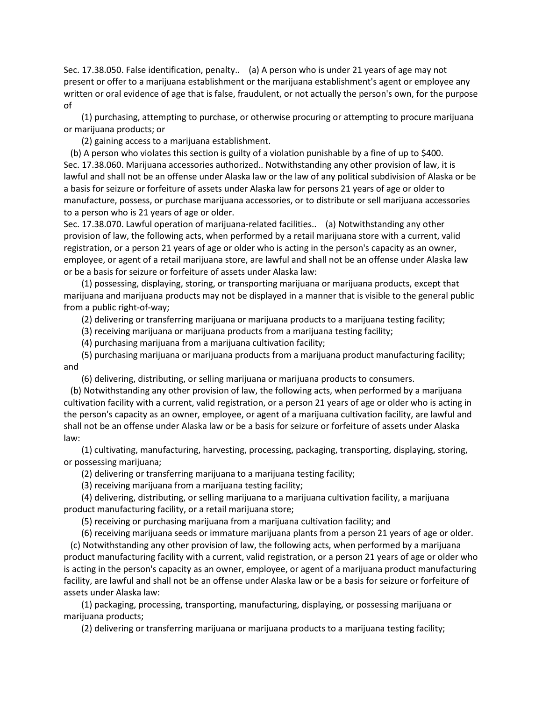Sec. 17.38.050. False identification, penalty.. (a) A person who is under 21 years of age may not present or offer to a marijuana establishment or the marijuana establishment's agent or employee any written or oral evidence of age that is false, fraudulent, or not actually the person's own, for the purpose of

 (1) purchasing, attempting to purchase, or otherwise procuring or attempting to procure marijuana or marijuana products; or

(2) gaining access to a marijuana establishment.

 (b) A person who violates this section is guilty of a violation punishable by a fine of up to \$400. Sec. 17.38.060. Marijuana accessories authorized.. Notwithstanding any other provision of law, it is lawful and shall not be an offense under Alaska law or the law of any political subdivision of Alaska or be a basis for seizure or forfeiture of assets under Alaska law for persons 21 years of age or older to manufacture, possess, or purchase marijuana accessories, or to distribute or sell marijuana accessories to a person who is 21 years of age or older.

Sec. 17.38.070. Lawful operation of marijuana-related facilities.. (a) Notwithstanding any other provision of law, the following acts, when performed by a retail marijuana store with a current, valid registration, or a person 21 years of age or older who is acting in the person's capacity as an owner, employee, or agent of a retail marijuana store, are lawful and shall not be an offense under Alaska law or be a basis for seizure or forfeiture of assets under Alaska law:

 (1) possessing, displaying, storing, or transporting marijuana or marijuana products, except that marijuana and marijuana products may not be displayed in a manner that is visible to the general public from a public right-of-way;

(2) delivering or transferring marijuana or marijuana products to a marijuana testing facility;

(3) receiving marijuana or marijuana products from a marijuana testing facility;

(4) purchasing marijuana from a marijuana cultivation facility;

 (5) purchasing marijuana or marijuana products from a marijuana product manufacturing facility; and

(6) delivering, distributing, or selling marijuana or marijuana products to consumers.

 (b) Notwithstanding any other provision of law, the following acts, when performed by a marijuana cultivation facility with a current, valid registration, or a person 21 years of age or older who is acting in the person's capacity as an owner, employee, or agent of a marijuana cultivation facility, are lawful and shall not be an offense under Alaska law or be a basis for seizure or forfeiture of assets under Alaska law:

 (1) cultivating, manufacturing, harvesting, processing, packaging, transporting, displaying, storing, or possessing marijuana;

(2) delivering or transferring marijuana to a marijuana testing facility;

(3) receiving marijuana from a marijuana testing facility;

 (4) delivering, distributing, or selling marijuana to a marijuana cultivation facility, a marijuana product manufacturing facility, or a retail marijuana store;

(5) receiving or purchasing marijuana from a marijuana cultivation facility; and

(6) receiving marijuana seeds or immature marijuana plants from a person 21 years of age or older.

 (c) Notwithstanding any other provision of law, the following acts, when performed by a marijuana product manufacturing facility with a current, valid registration, or a person 21 years of age or older who is acting in the person's capacity as an owner, employee, or agent of a marijuana product manufacturing facility, are lawful and shall not be an offense under Alaska law or be a basis for seizure or forfeiture of assets under Alaska law:

 (1) packaging, processing, transporting, manufacturing, displaying, or possessing marijuana or marijuana products;

(2) delivering or transferring marijuana or marijuana products to a marijuana testing facility;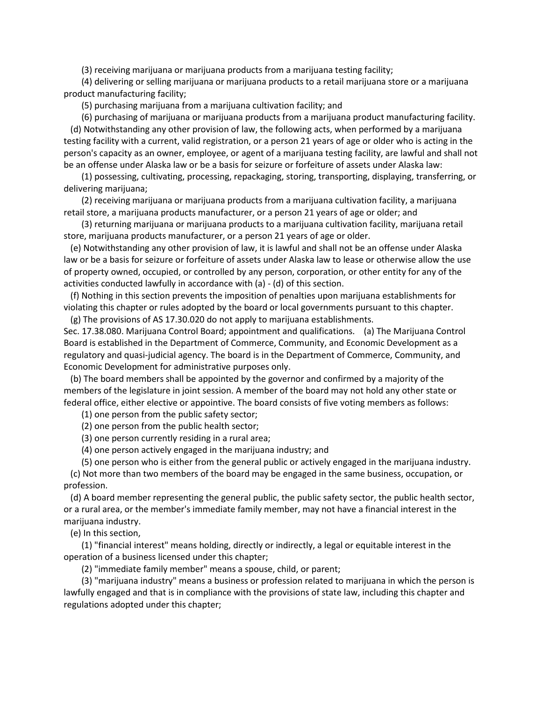(3) receiving marijuana or marijuana products from a marijuana testing facility;

 (4) delivering or selling marijuana or marijuana products to a retail marijuana store or a marijuana product manufacturing facility;

(5) purchasing marijuana from a marijuana cultivation facility; and

 (6) purchasing of marijuana or marijuana products from a marijuana product manufacturing facility. (d) Notwithstanding any other provision of law, the following acts, when performed by a marijuana testing facility with a current, valid registration, or a person 21 years of age or older who is acting in the person's capacity as an owner, employee, or agent of a marijuana testing facility, are lawful and shall not be an offense under Alaska law or be a basis for seizure or forfeiture of assets under Alaska law:

 (1) possessing, cultivating, processing, repackaging, storing, transporting, displaying, transferring, or delivering marijuana;

 (2) receiving marijuana or marijuana products from a marijuana cultivation facility, a marijuana retail store, a marijuana products manufacturer, or a person 21 years of age or older; and

 (3) returning marijuana or marijuana products to a marijuana cultivation facility, marijuana retail store, marijuana products manufacturer, or a person 21 years of age or older.

 (e) Notwithstanding any other provision of law, it is lawful and shall not be an offense under Alaska law or be a basis for seizure or forfeiture of assets under Alaska law to lease or otherwise allow the use of property owned, occupied, or controlled by any person, corporation, or other entity for any of the activities conducted lawfully in accordance with (a) - (d) of this section.

 (f) Nothing in this section prevents the imposition of penalties upon marijuana establishments for violating this chapter or rules adopted by the board or local governments pursuant to this chapter. (g) The provisions of AS 17.30.020 do not apply to marijuana establishments.

Sec. 17.38.080. Marijuana Control Board; appointment and qualifications. (a) The Marijuana Control Board is established in the Department of Commerce, Community, and Economic Development as a regulatory and quasi-judicial agency. The board is in the Department of Commerce, Community, and Economic Development for administrative purposes only.

 (b) The board members shall be appointed by the governor and confirmed by a majority of the members of the legislature in joint session. A member of the board may not hold any other state or federal office, either elective or appointive. The board consists of five voting members as follows:

(1) one person from the public safety sector;

(2) one person from the public health sector;

(3) one person currently residing in a rural area;

(4) one person actively engaged in the marijuana industry; and

(5) one person who is either from the general public or actively engaged in the marijuana industry.

 (c) Not more than two members of the board may be engaged in the same business, occupation, or profession.

 (d) A board member representing the general public, the public safety sector, the public health sector, or a rural area, or the member's immediate family member, may not have a financial interest in the marijuana industry.

(e) In this section,

 (1) "financial interest" means holding, directly or indirectly, a legal or equitable interest in the operation of a business licensed under this chapter;

(2) "immediate family member" means a spouse, child, or parent;

 (3) "marijuana industry" means a business or profession related to marijuana in which the person is lawfully engaged and that is in compliance with the provisions of state law, including this chapter and regulations adopted under this chapter;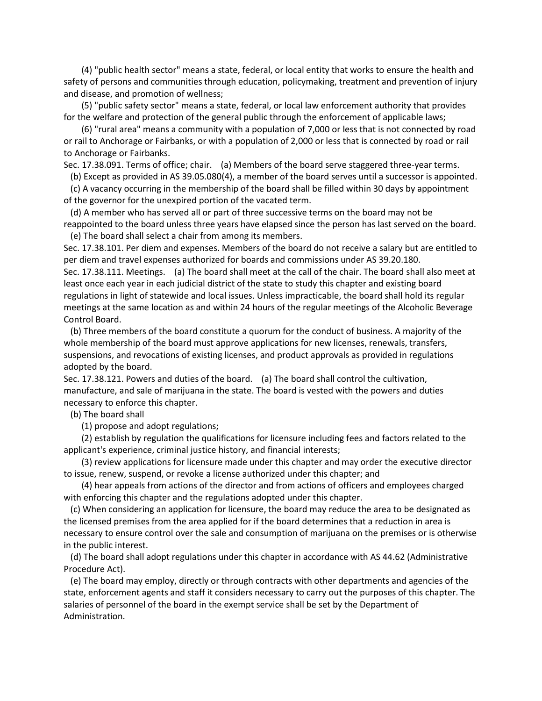(4) "public health sector" means a state, federal, or local entity that works to ensure the health and safety of persons and communities through education, policymaking, treatment and prevention of injury and disease, and promotion of wellness;

 (5) "public safety sector" means a state, federal, or local law enforcement authority that provides for the welfare and protection of the general public through the enforcement of applicable laws;

 (6) "rural area" means a community with a population of 7,000 or less that is not connected by road or rail to Anchorage or Fairbanks, or with a population of 2,000 or less that is connected by road or rail to Anchorage or Fairbanks.

Sec. 17.38.091. Terms of office; chair. (a) Members of the board serve staggered three-year terms.

(b) Except as provided in AS 39.05.080(4), a member of the board serves until a successor is appointed.

 (c) A vacancy occurring in the membership of the board shall be filled within 30 days by appointment of the governor for the unexpired portion of the vacated term.

 (d) A member who has served all or part of three successive terms on the board may not be reappointed to the board unless three years have elapsed since the person has last served on the board. (e) The board shall select a chair from among its members.

Sec. 17.38.101. Per diem and expenses. Members of the board do not receive a salary but are entitled to per diem and travel expenses authorized for boards and commissions under AS 39.20.180.

Sec. 17.38.111. Meetings. (a) The board shall meet at the call of the chair. The board shall also meet at least once each year in each judicial district of the state to study this chapter and existing board regulations in light of statewide and local issues. Unless impracticable, the board shall hold its regular meetings at the same location as and within 24 hours of the regular meetings of the Alcoholic Beverage Control Board.

 (b) Three members of the board constitute a quorum for the conduct of business. A majority of the whole membership of the board must approve applications for new licenses, renewals, transfers, suspensions, and revocations of existing licenses, and product approvals as provided in regulations adopted by the board.

Sec. 17.38.121. Powers and duties of the board. (a) The board shall control the cultivation, manufacture, and sale of marijuana in the state. The board is vested with the powers and duties necessary to enforce this chapter.

(b) The board shall

(1) propose and adopt regulations;

 (2) establish by regulation the qualifications for licensure including fees and factors related to the applicant's experience, criminal justice history, and financial interests;

 (3) review applications for licensure made under this chapter and may order the executive director to issue, renew, suspend, or revoke a license authorized under this chapter; and

 (4) hear appeals from actions of the director and from actions of officers and employees charged with enforcing this chapter and the regulations adopted under this chapter.

 (c) When considering an application for licensure, the board may reduce the area to be designated as the licensed premises from the area applied for if the board determines that a reduction in area is necessary to ensure control over the sale and consumption of marijuana on the premises or is otherwise in the public interest.

 (d) The board shall adopt regulations under this chapter in accordance with AS 44.62 (Administrative Procedure Act).

 (e) The board may employ, directly or through contracts with other departments and agencies of the state, enforcement agents and staff it considers necessary to carry out the purposes of this chapter. The salaries of personnel of the board in the exempt service shall be set by the Department of Administration.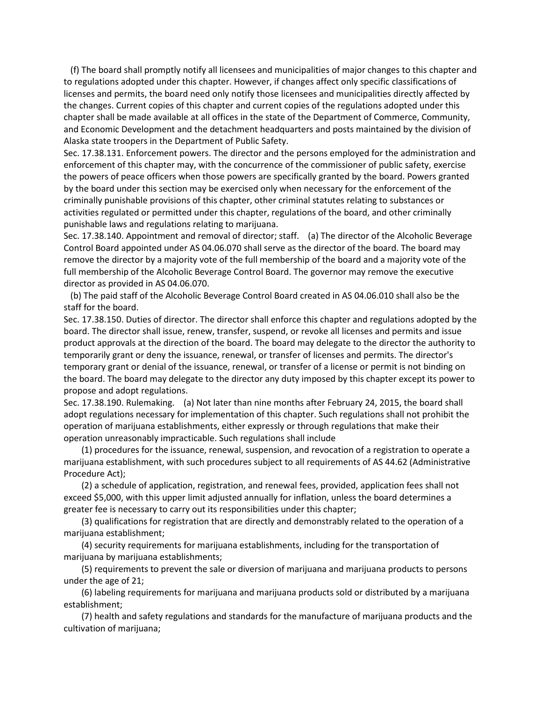(f) The board shall promptly notify all licensees and municipalities of major changes to this chapter and to regulations adopted under this chapter. However, if changes affect only specific classifications of licenses and permits, the board need only notify those licensees and municipalities directly affected by the changes. Current copies of this chapter and current copies of the regulations adopted under this chapter shall be made available at all offices in the state of the Department of Commerce, Community, and Economic Development and the detachment headquarters and posts maintained by the division of Alaska state troopers in the Department of Public Safety.

Sec. 17.38.131. Enforcement powers. The director and the persons employed for the administration and enforcement of this chapter may, with the concurrence of the commissioner of public safety, exercise the powers of peace officers when those powers are specifically granted by the board. Powers granted by the board under this section may be exercised only when necessary for the enforcement of the criminally punishable provisions of this chapter, other criminal statutes relating to substances or activities regulated or permitted under this chapter, regulations of the board, and other criminally punishable laws and regulations relating to marijuana.

Sec. 17.38.140. Appointment and removal of director; staff. (a) The director of the Alcoholic Beverage Control Board appointed under AS 04.06.070 shall serve as the director of the board. The board may remove the director by a majority vote of the full membership of the board and a majority vote of the full membership of the Alcoholic Beverage Control Board. The governor may remove the executive director as provided in AS 04.06.070.

 (b) The paid staff of the Alcoholic Beverage Control Board created in AS 04.06.010 shall also be the staff for the board.

Sec. 17.38.150. Duties of director. The director shall enforce this chapter and regulations adopted by the board. The director shall issue, renew, transfer, suspend, or revoke all licenses and permits and issue product approvals at the direction of the board. The board may delegate to the director the authority to temporarily grant or deny the issuance, renewal, or transfer of licenses and permits. The director's temporary grant or denial of the issuance, renewal, or transfer of a license or permit is not binding on the board. The board may delegate to the director any duty imposed by this chapter except its power to propose and adopt regulations.

Sec. 17.38.190. Rulemaking. (a) Not later than nine months after February 24, 2015, the board shall adopt regulations necessary for implementation of this chapter. Such regulations shall not prohibit the operation of marijuana establishments, either expressly or through regulations that make their operation unreasonably impracticable. Such regulations shall include

 (1) procedures for the issuance, renewal, suspension, and revocation of a registration to operate a marijuana establishment, with such procedures subject to all requirements of AS 44.62 (Administrative Procedure Act);

 (2) a schedule of application, registration, and renewal fees, provided, application fees shall not exceed \$5,000, with this upper limit adjusted annually for inflation, unless the board determines a greater fee is necessary to carry out its responsibilities under this chapter;

 (3) qualifications for registration that are directly and demonstrably related to the operation of a marijuana establishment;

 (4) security requirements for marijuana establishments, including for the transportation of marijuana by marijuana establishments;

 (5) requirements to prevent the sale or diversion of marijuana and marijuana products to persons under the age of 21;

 (6) labeling requirements for marijuana and marijuana products sold or distributed by a marijuana establishment;

 (7) health and safety regulations and standards for the manufacture of marijuana products and the cultivation of marijuana;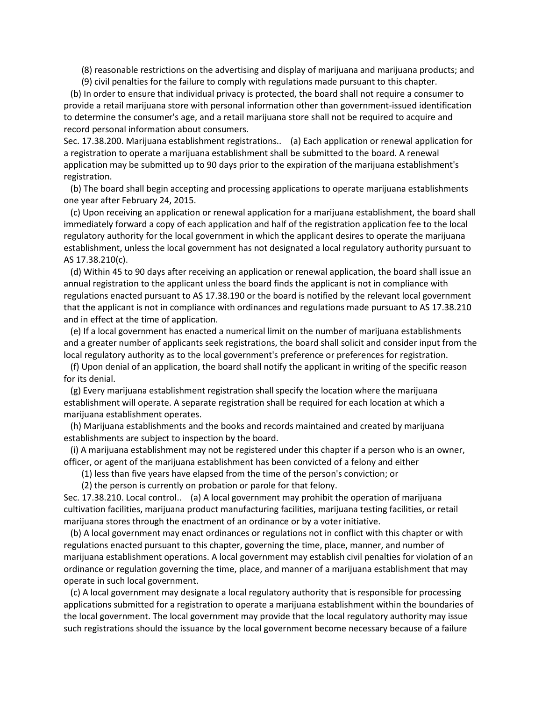(8) reasonable restrictions on the advertising and display of marijuana and marijuana products; and

(9) civil penalties for the failure to comply with regulations made pursuant to this chapter.

 (b) In order to ensure that individual privacy is protected, the board shall not require a consumer to provide a retail marijuana store with personal information other than government-issued identification to determine the consumer's age, and a retail marijuana store shall not be required to acquire and record personal information about consumers.

Sec. 17.38.200. Marijuana establishment registrations.. (a) Each application or renewal application for a registration to operate a marijuana establishment shall be submitted to the board. A renewal application may be submitted up to 90 days prior to the expiration of the marijuana establishment's registration.

 (b) The board shall begin accepting and processing applications to operate marijuana establishments one year after February 24, 2015.

 (c) Upon receiving an application or renewal application for a marijuana establishment, the board shall immediately forward a copy of each application and half of the registration application fee to the local regulatory authority for the local government in which the applicant desires to operate the marijuana establishment, unless the local government has not designated a local regulatory authority pursuant to AS 17.38.210(c).

 (d) Within 45 to 90 days after receiving an application or renewal application, the board shall issue an annual registration to the applicant unless the board finds the applicant is not in compliance with regulations enacted pursuant to AS 17.38.190 or the board is notified by the relevant local government that the applicant is not in compliance with ordinances and regulations made pursuant to AS 17.38.210 and in effect at the time of application.

 (e) If a local government has enacted a numerical limit on the number of marijuana establishments and a greater number of applicants seek registrations, the board shall solicit and consider input from the local regulatory authority as to the local government's preference or preferences for registration.

 (f) Upon denial of an application, the board shall notify the applicant in writing of the specific reason for its denial.

 (g) Every marijuana establishment registration shall specify the location where the marijuana establishment will operate. A separate registration shall be required for each location at which a marijuana establishment operates.

 (h) Marijuana establishments and the books and records maintained and created by marijuana establishments are subject to inspection by the board.

 (i) A marijuana establishment may not be registered under this chapter if a person who is an owner, officer, or agent of the marijuana establishment has been convicted of a felony and either

(1) less than five years have elapsed from the time of the person's conviction; or

(2) the person is currently on probation or parole for that felony.

Sec. 17.38.210. Local control.. (a) A local government may prohibit the operation of marijuana cultivation facilities, marijuana product manufacturing facilities, marijuana testing facilities, or retail marijuana stores through the enactment of an ordinance or by a voter initiative.

 (b) A local government may enact ordinances or regulations not in conflict with this chapter or with regulations enacted pursuant to this chapter, governing the time, place, manner, and number of marijuana establishment operations. A local government may establish civil penalties for violation of an ordinance or regulation governing the time, place, and manner of a marijuana establishment that may operate in such local government.

 (c) A local government may designate a local regulatory authority that is responsible for processing applications submitted for a registration to operate a marijuana establishment within the boundaries of the local government. The local government may provide that the local regulatory authority may issue such registrations should the issuance by the local government become necessary because of a failure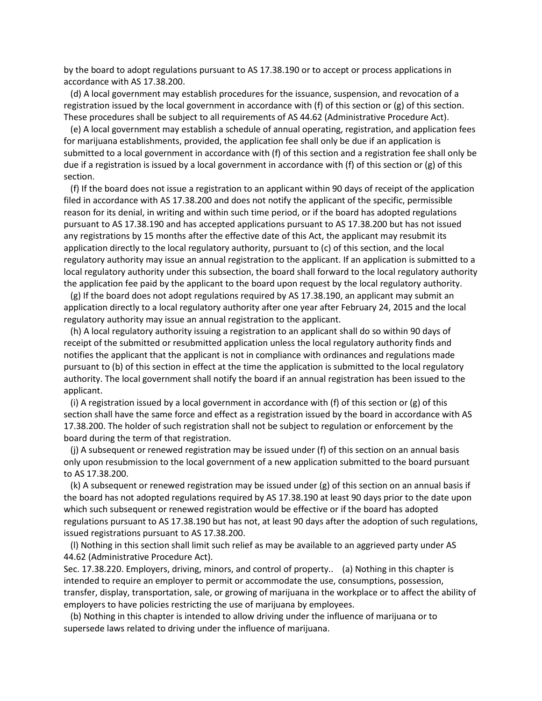by the board to adopt regulations pursuant to AS 17.38.190 or to accept or process applications in accordance with AS 17.38.200.

 (d) A local government may establish procedures for the issuance, suspension, and revocation of a registration issued by the local government in accordance with (f) of this section or (g) of this section. These procedures shall be subject to all requirements of AS 44.62 (Administrative Procedure Act).

 (e) A local government may establish a schedule of annual operating, registration, and application fees for marijuana establishments, provided, the application fee shall only be due if an application is submitted to a local government in accordance with (f) of this section and a registration fee shall only be due if a registration is issued by a local government in accordance with (f) of this section or (g) of this section.

 (f) If the board does not issue a registration to an applicant within 90 days of receipt of the application filed in accordance with AS 17.38.200 and does not notify the applicant of the specific, permissible reason for its denial, in writing and within such time period, or if the board has adopted regulations pursuant to AS 17.38.190 and has accepted applications pursuant to AS 17.38.200 but has not issued any registrations by 15 months after the effective date of this Act, the applicant may resubmit its application directly to the local regulatory authority, pursuant to (c) of this section, and the local regulatory authority may issue an annual registration to the applicant. If an application is submitted to a local regulatory authority under this subsection, the board shall forward to the local regulatory authority the application fee paid by the applicant to the board upon request by the local regulatory authority.

 (g) If the board does not adopt regulations required by AS 17.38.190, an applicant may submit an application directly to a local regulatory authority after one year after February 24, 2015 and the local regulatory authority may issue an annual registration to the applicant.

 (h) A local regulatory authority issuing a registration to an applicant shall do so within 90 days of receipt of the submitted or resubmitted application unless the local regulatory authority finds and notifies the applicant that the applicant is not in compliance with ordinances and regulations made pursuant to (b) of this section in effect at the time the application is submitted to the local regulatory authority. The local government shall notify the board if an annual registration has been issued to the applicant.

 (i) A registration issued by a local government in accordance with (f) of this section or (g) of this section shall have the same force and effect as a registration issued by the board in accordance with AS 17.38.200. The holder of such registration shall not be subject to regulation or enforcement by the board during the term of that registration.

 (j) A subsequent or renewed registration may be issued under (f) of this section on an annual basis only upon resubmission to the local government of a new application submitted to the board pursuant to AS 17.38.200.

 (k) A subsequent or renewed registration may be issued under (g) of this section on an annual basis if the board has not adopted regulations required by AS 17.38.190 at least 90 days prior to the date upon which such subsequent or renewed registration would be effective or if the board has adopted regulations pursuant to AS 17.38.190 but has not, at least 90 days after the adoption of such regulations, issued registrations pursuant to AS 17.38.200.

 (l) Nothing in this section shall limit such relief as may be available to an aggrieved party under AS 44.62 (Administrative Procedure Act).

Sec. 17.38.220. Employers, driving, minors, and control of property.. (a) Nothing in this chapter is intended to require an employer to permit or accommodate the use, consumptions, possession, transfer, display, transportation, sale, or growing of marijuana in the workplace or to affect the ability of employers to have policies restricting the use of marijuana by employees.

 (b) Nothing in this chapter is intended to allow driving under the influence of marijuana or to supersede laws related to driving under the influence of marijuana.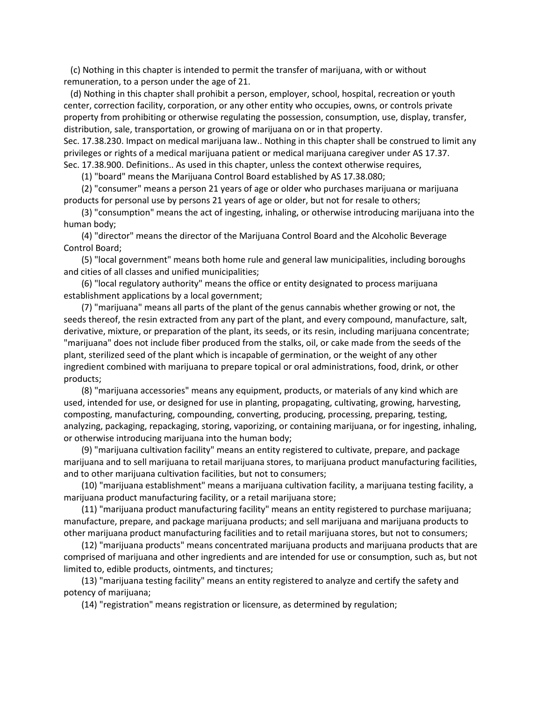(c) Nothing in this chapter is intended to permit the transfer of marijuana, with or without remuneration, to a person under the age of 21.

 (d) Nothing in this chapter shall prohibit a person, employer, school, hospital, recreation or youth center, correction facility, corporation, or any other entity who occupies, owns, or controls private property from prohibiting or otherwise regulating the possession, consumption, use, display, transfer, distribution, sale, transportation, or growing of marijuana on or in that property.

Sec. 17.38.230. Impact on medical marijuana law.. Nothing in this chapter shall be construed to limit any privileges or rights of a medical marijuana patient or medical marijuana caregiver under AS 17.37. Sec. 17.38.900. Definitions.. As used in this chapter, unless the context otherwise requires,

(1) "board" means the Marijuana Control Board established by AS 17.38.080;

 (2) "consumer" means a person 21 years of age or older who purchases marijuana or marijuana products for personal use by persons 21 years of age or older, but not for resale to others;

 (3) "consumption" means the act of ingesting, inhaling, or otherwise introducing marijuana into the human body;

 (4) "director" means the director of the Marijuana Control Board and the Alcoholic Beverage Control Board;

 (5) "local government" means both home rule and general law municipalities, including boroughs and cities of all classes and unified municipalities;

 (6) "local regulatory authority" means the office or entity designated to process marijuana establishment applications by a local government;

 (7) "marijuana" means all parts of the plant of the genus cannabis whether growing or not, the seeds thereof, the resin extracted from any part of the plant, and every compound, manufacture, salt, derivative, mixture, or preparation of the plant, its seeds, or its resin, including marijuana concentrate; "marijuana" does not include fiber produced from the stalks, oil, or cake made from the seeds of the plant, sterilized seed of the plant which is incapable of germination, or the weight of any other ingredient combined with marijuana to prepare topical or oral administrations, food, drink, or other products;

 (8) "marijuana accessories" means any equipment, products, or materials of any kind which are used, intended for use, or designed for use in planting, propagating, cultivating, growing, harvesting, composting, manufacturing, compounding, converting, producing, processing, preparing, testing, analyzing, packaging, repackaging, storing, vaporizing, or containing marijuana, or for ingesting, inhaling, or otherwise introducing marijuana into the human body;

 (9) "marijuana cultivation facility" means an entity registered to cultivate, prepare, and package marijuana and to sell marijuana to retail marijuana stores, to marijuana product manufacturing facilities, and to other marijuana cultivation facilities, but not to consumers;

 (10) "marijuana establishment" means a marijuana cultivation facility, a marijuana testing facility, a marijuana product manufacturing facility, or a retail marijuana store;

 (11) "marijuana product manufacturing facility" means an entity registered to purchase marijuana; manufacture, prepare, and package marijuana products; and sell marijuana and marijuana products to other marijuana product manufacturing facilities and to retail marijuana stores, but not to consumers;

 (12) "marijuana products" means concentrated marijuana products and marijuana products that are comprised of marijuana and other ingredients and are intended for use or consumption, such as, but not limited to, edible products, ointments, and tinctures;

 (13) "marijuana testing facility" means an entity registered to analyze and certify the safety and potency of marijuana;

(14) "registration" means registration or licensure, as determined by regulation;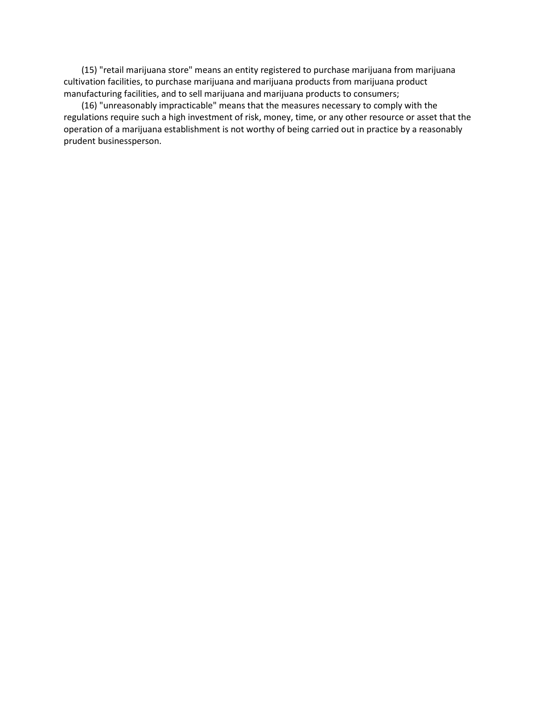(15) "retail marijuana store" means an entity registered to purchase marijuana from marijuana cultivation facilities, to purchase marijuana and marijuana products from marijuana product manufacturing facilities, and to sell marijuana and marijuana products to consumers;

 (16) "unreasonably impracticable" means that the measures necessary to comply with the regulations require such a high investment of risk, money, time, or any other resource or asset that the operation of a marijuana establishment is not worthy of being carried out in practice by a reasonably prudent businessperson.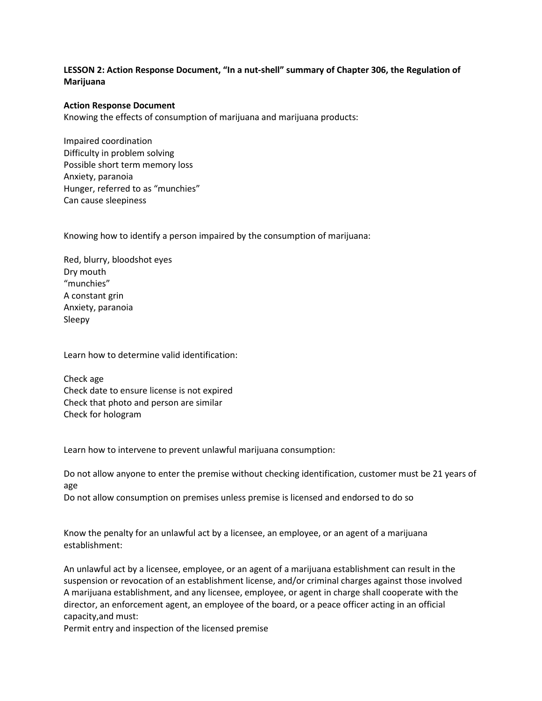# **LESSON 2: Action Response Document, "In a nut-shell" summary of Chapter 306, the Regulation of Marijuana**

#### **Action Response Document**

Knowing the effects of consumption of marijuana and marijuana products:

Impaired coordination Difficulty in problem solving Possible short term memory loss Anxiety, paranoia Hunger, referred to as "munchies" Can cause sleepiness

Knowing how to identify a person impaired by the consumption of marijuana:

Red, blurry, bloodshot eyes Dry mouth "munchies" A constant grin Anxiety, paranoia Sleepy

Learn how to determine valid identification:

Check age Check date to ensure license is not expired Check that photo and person are similar Check for hologram

Learn how to intervene to prevent unlawful marijuana consumption:

Do not allow anyone to enter the premise without checking identification, customer must be 21 years of age

Do not allow consumption on premises unless premise is licensed and endorsed to do so

Know the penalty for an unlawful act by a licensee, an employee, or an agent of a marijuana establishment:

An unlawful act by a licensee, employee, or an agent of a marijuana establishment can result in the suspension or revocation of an establishment license, and/or criminal charges against those involved A marijuana establishment, and any licensee, employee, or agent in charge shall cooperate with the director, an enforcement agent, an employee of the board, or a peace officer acting in an official capacity,and must:

Permit entry and inspection of the licensed premise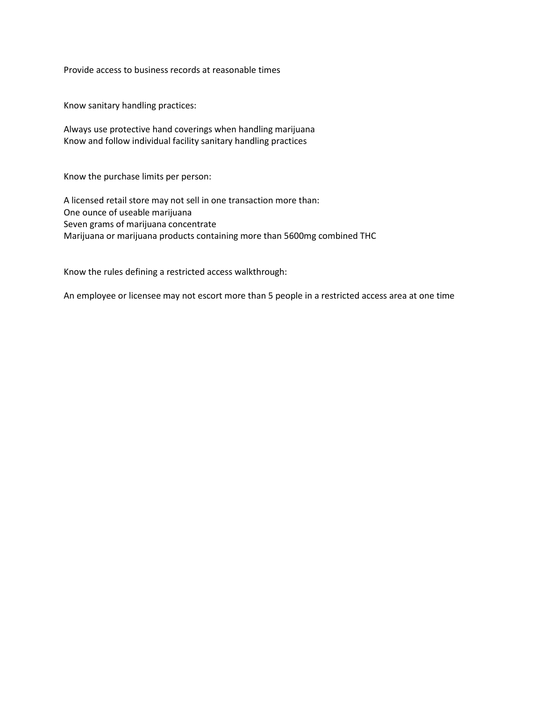Provide access to business records at reasonable times

Know sanitary handling practices:

Always use protective hand coverings when handling marijuana Know and follow individual facility sanitary handling practices

Know the purchase limits per person:

A licensed retail store may not sell in one transaction more than: One ounce of useable marijuana Seven grams of marijuana concentrate Marijuana or marijuana products containing more than 5600mg combined THC

Know the rules defining a restricted access walkthrough:

An employee or licensee may not escort more than 5 people in a restricted access area at one time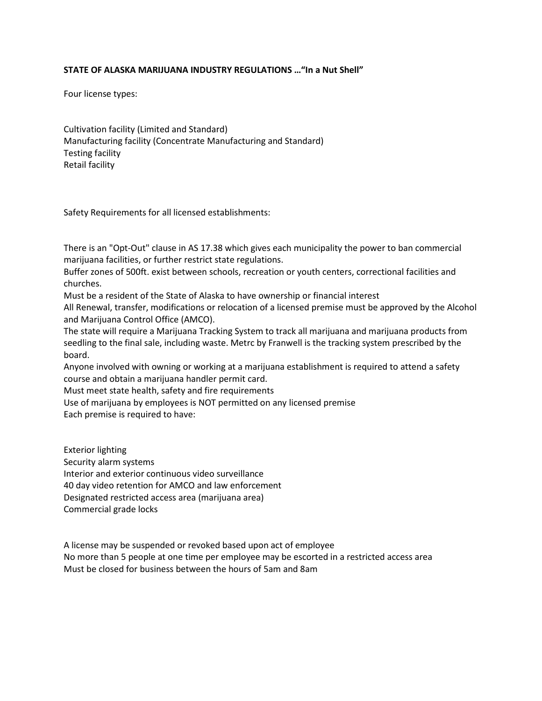### **STATE OF ALASKA MARIJUANA INDUSTRY REGULATIONS …"In a Nut Shell"**

Four license types:

Cultivation facility (Limited and Standard) Manufacturing facility (Concentrate Manufacturing and Standard) Testing facility Retail facility

Safety Requirements for all licensed establishments:

There is an "Opt-Out" clause in AS 17.38 which gives each municipality the power to ban commercial marijuana facilities, or further restrict state regulations.

Buffer zones of 500ft. exist between schools, recreation or youth centers, correctional facilities and churches.

Must be a resident of the State of Alaska to have ownership or financial interest

All Renewal, transfer, modifications or relocation of a licensed premise must be approved by the Alcohol and Marijuana Control Office (AMCO).

The state will require a Marijuana Tracking System to track all marijuana and marijuana products from seedling to the final sale, including waste. Metrc by Franwell is the tracking system prescribed by the board.

Anyone involved with owning or working at a marijuana establishment is required to attend a safety course and obtain a marijuana handler permit card.

Must meet state health, safety and fire requirements

Use of marijuana by employees is NOT permitted on any licensed premise

Each premise is required to have:

Exterior lighting Security alarm systems Interior and exterior continuous video surveillance 40 day video retention for AMCO and law enforcement Designated restricted access area (marijuana area) Commercial grade locks

A license may be suspended or revoked based upon act of employee No more than 5 people at one time per employee may be escorted in a restricted access area Must be closed for business between the hours of 5am and 8am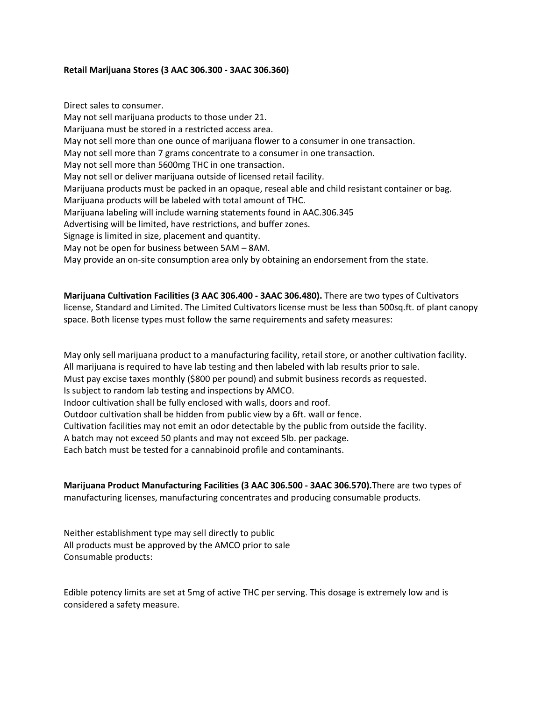### **Retail Marijuana Stores (3 AAC 306.300 - 3AAC 306.360)**

Direct sales to consumer. May not sell marijuana products to those under 21. Marijuana must be stored in a restricted access area. May not sell more than one ounce of marijuana flower to a consumer in one transaction. May not sell more than 7 grams concentrate to a consumer in one transaction. May not sell more than 5600mg THC in one transaction. May not sell or deliver marijuana outside of licensed retail facility. Marijuana products must be packed in an opaque, reseal able and child resistant container or bag. Marijuana products will be labeled with total amount of THC. Marijuana labeling will include warning statements found in AAC.306.345 Advertising will be limited, have restrictions, and buffer zones. Signage is limited in size, placement and quantity. May not be open for business between 5AM – 8AM. May provide an on-site consumption area only by obtaining an endorsement from the state.

**Marijuana Cultivation Facilities (3 AAC 306.400 - 3AAC 306.480).** There are two types of Cultivators license, Standard and Limited. The Limited Cultivators license must be less than 500sq.ft. of plant canopy space. Both license types must follow the same requirements and safety measures:

May only sell marijuana product to a manufacturing facility, retail store, or another cultivation facility. All marijuana is required to have lab testing and then labeled with lab results prior to sale. Must pay excise taxes monthly (\$800 per pound) and submit business records as requested. Is subject to random lab testing and inspections by AMCO. Indoor cultivation shall be fully enclosed with walls, doors and roof. Outdoor cultivation shall be hidden from public view by a 6ft. wall or fence. Cultivation facilities may not emit an odor detectable by the public from outside the facility. A batch may not exceed 50 plants and may not exceed 5lb. per package. Each batch must be tested for a cannabinoid profile and contaminants.

**Marijuana Product Manufacturing Facilities (3 AAC 306.500 - 3AAC 306.570).**There are two types of manufacturing licenses, manufacturing concentrates and producing consumable products.

Neither establishment type may sell directly to public All products must be approved by the AMCO prior to sale Consumable products:

Edible potency limits are set at 5mg of active THC per serving. This dosage is extremely low and is considered a safety measure.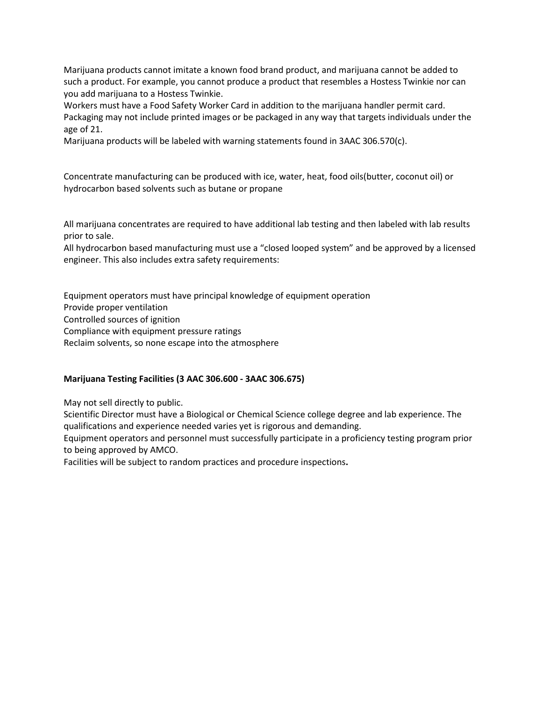Marijuana products cannot imitate a known food brand product, and marijuana cannot be added to such a product. For example, you cannot produce a product that resembles a Hostess Twinkie nor can you add marijuana to a Hostess Twinkie.

Workers must have a Food Safety Worker Card in addition to the marijuana handler permit card. Packaging may not include printed images or be packaged in any way that targets individuals under the age of 21.

Marijuana products will be labeled with warning statements found in 3AAC 306.570(c).

Concentrate manufacturing can be produced with ice, water, heat, food oils(butter, coconut oil) or hydrocarbon based solvents such as butane or propane

All marijuana concentrates are required to have additional lab testing and then labeled with lab results prior to sale.

All hydrocarbon based manufacturing must use a "closed looped system" and be approved by a licensed engineer. This also includes extra safety requirements:

Equipment operators must have principal knowledge of equipment operation Provide proper ventilation Controlled sources of ignition Compliance with equipment pressure ratings Reclaim solvents, so none escape into the atmosphere

### **Marijuana Testing Facilities (3 AAC 306.600 - 3AAC 306.675)**

May not sell directly to public.

Scientific Director must have a Biological or Chemical Science college degree and lab experience. The qualifications and experience needed varies yet is rigorous and demanding.

Equipment operators and personnel must successfully participate in a proficiency testing program prior to being approved by AMCO.

Facilities will be subject to random practices and procedure inspections**.**